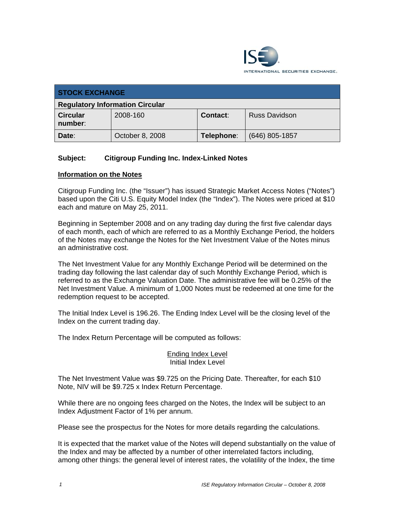

| <b>STOCK EXCHANGE</b>                  |                 |            |                      |
|----------------------------------------|-----------------|------------|----------------------|
| <b>Regulatory Information Circular</b> |                 |            |                      |
| <b>Circular</b><br>number:             | 2008-160        | Contact:   | <b>Russ Davidson</b> |
| Date:                                  | October 8, 2008 | Telephone: | $(646)$ 805-1857     |

## **Subject: Citigroup Funding Inc. Index-Linked Notes**

### **Information on the Notes**

Citigroup Funding Inc. (the "Issuer") has issued Strategic Market Access Notes ("Notes") based upon the Citi U.S. Equity Model Index (the "Index"). The Notes were priced at \$10 each and mature on May 25, 2011.

Beginning in September 2008 and on any trading day during the first five calendar days of each month, each of which are referred to as a Monthly Exchange Period, the holders of the Notes may exchange the Notes for the Net Investment Value of the Notes minus an administrative cost.

The Net Investment Value for any Monthly Exchange Period will be determined on the trading day following the last calendar day of such Monthly Exchange Period, which is referred to as the Exchange Valuation Date. The administrative fee will be 0.25% of the Net Investment Value. A minimum of 1,000 Notes must be redeemed at one time for the redemption request to be accepted.

The Initial Index Level is 196.26. The Ending Index Level will be the closing level of the Index on the current trading day.

The Index Return Percentage will be computed as follows:

### Ending Index Level Initial Index Level

The Net Investment Value was \$9.725 on the Pricing Date. Thereafter, for each \$10 Note, NIV will be \$9.725 x Index Return Percentage.

While there are no ongoing fees charged on the Notes, the Index will be subject to an Index Adjustment Factor of 1% per annum.

Please see the prospectus for the Notes for more details regarding the calculations.

It is expected that the market value of the Notes will depend substantially on the value of the Index and may be affected by a number of other interrelated factors including, among other things: the general level of interest rates, the volatility of the Index, the time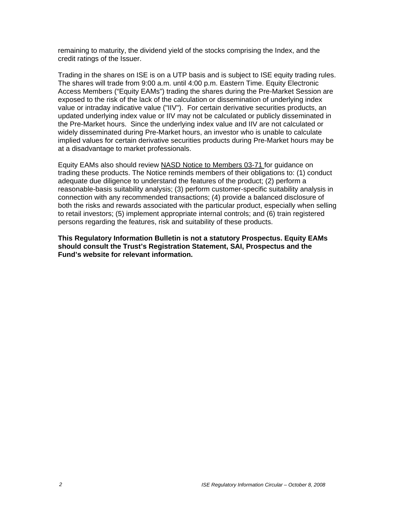remaining to maturity, the dividend yield of the stocks comprising the Index, and the credit ratings of the Issuer.

Trading in the shares on ISE is on a UTP basis and is subject to ISE equity trading rules. The shares will trade from 9:00 a.m. until 4:00 p.m. Eastern Time. Equity Electronic Access Members ("Equity EAMs") trading the shares during the Pre-Market Session are exposed to the risk of the lack of the calculation or dissemination of underlying index value or intraday indicative value ("IIV"). For certain derivative securities products, an updated underlying index value or IIV may not be calculated or publicly disseminated in the Pre-Market hours. Since the underlying index value and IIV are not calculated or widely disseminated during Pre-Market hours, an investor who is unable to calculate implied values for certain derivative securities products during Pre-Market hours may be at a disadvantage to market professionals.

Equity EAMs also should review NASD Notice to Members 03-71 for guidance on trading these products. The Notice reminds members of their obligations to: (1) conduct adequate due diligence to understand the features of the product; (2) perform a reasonable-basis suitability analysis; (3) perform customer-specific suitability analysis in connection with any recommended transactions; (4) provide a balanced disclosure of both the risks and rewards associated with the particular product, especially when selling to retail investors; (5) implement appropriate internal controls; and (6) train registered persons regarding the features, risk and suitability of these products.

**This Regulatory Information Bulletin is not a statutory Prospectus. Equity EAMs should consult the Trust's Registration Statement, SAI, Prospectus and the Fund's website for relevant information.**